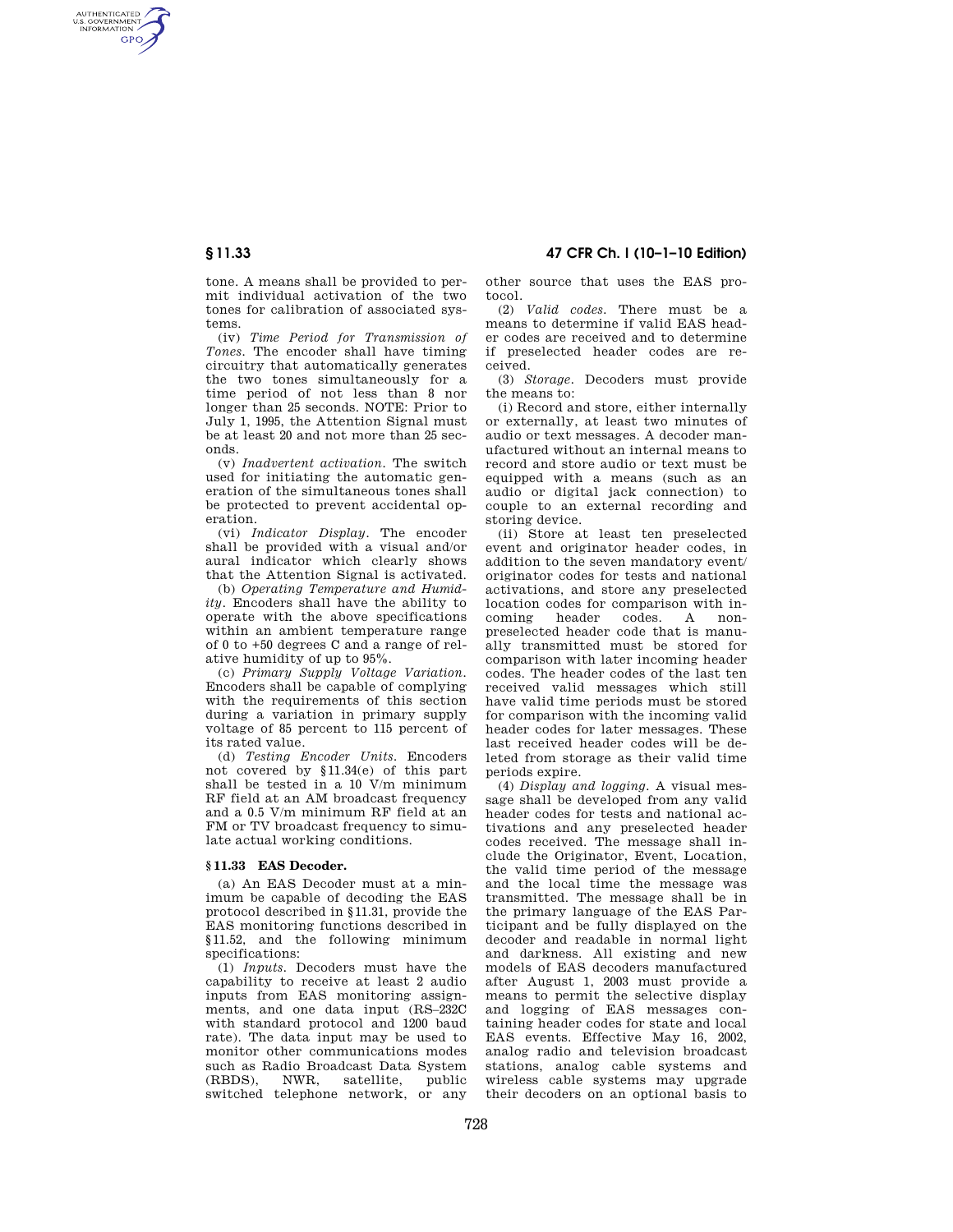## **§ 11.33 47 CFR Ch. I (10–1–10 Edition)**

AUTHENTICATED<br>U.S. GOVERNMENT<br>INFORMATION **GPO** 

> tone. A means shall be provided to permit individual activation of the two tones for calibration of associated systems.

> (iv) *Time Period for Transmission of Tones.* The encoder shall have timing circuitry that automatically generates the two tones simultaneously for a time period of not less than 8 nor longer than 25 seconds. NOTE: Prior to July 1, 1995, the Attention Signal must be at least 20 and not more than 25 seconds.

> (v) *Inadvertent activation.* The switch used for initiating the automatic generation of the simultaneous tones shall be protected to prevent accidental operation.

> (vi) *Indicator Display.* The encoder shall be provided with a visual and/or aural indicator which clearly shows that the Attention Signal is activated.

> (b) *Operating Temperature and Humidity.* Encoders shall have the ability to operate with the above specifications within an ambient temperature range of 0 to +50 degrees C and a range of relative humidity of up to 95%.

> (c) *Primary Supply Voltage Variation.*  Encoders shall be capable of complying with the requirements of this section during a variation in primary supply voltage of 85 percent to 115 percent of its rated value.

> (d) *Testing Encoder Units.* Encoders not covered by §11.34(e) of this part shall be tested in a 10 V/m minimum RF field at an AM broadcast frequency and a 0.5 V/m minimum RF field at an FM or TV broadcast frequency to simulate actual working conditions.

## **§ 11.33 EAS Decoder.**

(a) An EAS Decoder must at a minimum be capable of decoding the EAS protocol described in §11.31, provide the EAS monitoring functions described in §11.52, and the following minimum specifications:

(1) *Inputs.* Decoders must have the capability to receive at least 2 audio inputs from EAS monitoring assignments, and one data input (RS–232C with standard protocol and 1200 baud rate). The data input may be used to monitor other communications modes such as Radio Broadcast Data System<br>(RBDS), NWR, satellite, public (RBDS), NWR, satellite, public switched telephone network, or any other source that uses the EAS protocol.

(2) *Valid codes.* There must be a means to determine if valid EAS header codes are received and to determine if preselected header codes are received.

(3) *Storage.* Decoders must provide the means to:

(i) Record and store, either internally or externally, at least two minutes of audio or text messages. A decoder manufactured without an internal means to record and store audio or text must be equipped with a means (such as an audio or digital jack connection) to couple to an external recording and storing device.

(ii) Store at least ten preselected event and originator header codes, in addition to the seven mandatory event/ originator codes for tests and national activations, and store any preselected location codes for comparison with in-<br>coming beader codes A noncoming header codes. A nonpreselected header code that is manually transmitted must be stored for comparison with later incoming header codes. The header codes of the last ten received valid messages which still have valid time periods must be stored for comparison with the incoming valid header codes for later messages. These last received header codes will be deleted from storage as their valid time periods expire.

(4) *Display and logging.* A visual message shall be developed from any valid header codes for tests and national activations and any preselected header codes received. The message shall include the Originator, Event, Location, the valid time period of the message and the local time the message was transmitted. The message shall be in the primary language of the EAS Participant and be fully displayed on the decoder and readable in normal light and darkness. All existing and new models of EAS decoders manufactured after August 1, 2003 must provide a means to permit the selective display and logging of EAS messages containing header codes for state and local EAS events. Effective May 16, 2002, analog radio and television broadcast stations, analog cable systems and wireless cable systems may upgrade their decoders on an optional basis to